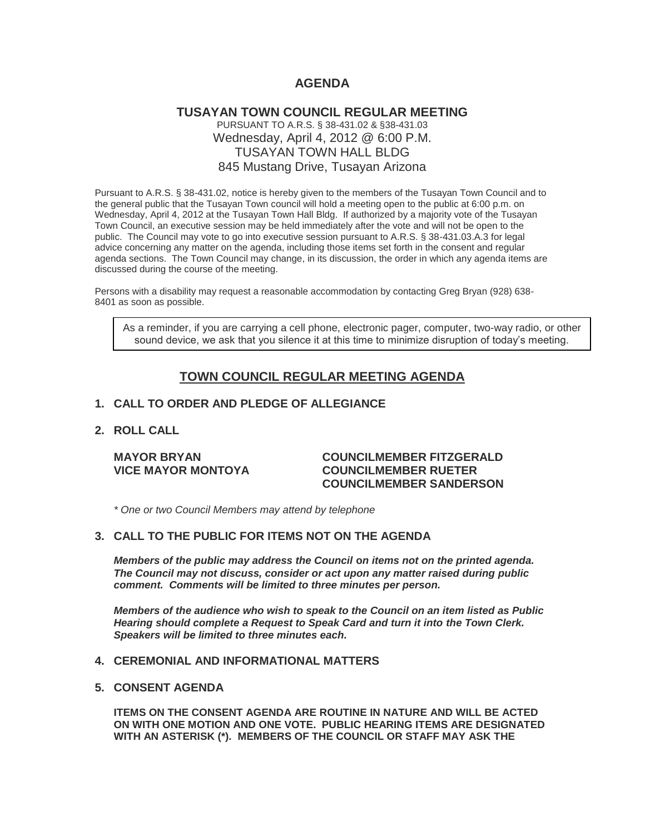# **AGENDA**

# **TUSAYAN TOWN COUNCIL REGULAR MEETING** PURSUANT TO A.R.S. § 38-431.02 & §38-431.03 Wednesday, April 4, 2012 @ 6:00 P.M. TUSAYAN TOWN HALL BLDG 845 Mustang Drive, Tusayan Arizona

Pursuant to A.R.S. § 38-431.02, notice is hereby given to the members of the Tusayan Town Council and to the general public that the Tusayan Town council will hold a meeting open to the public at 6:00 p.m. on Wednesday, April 4, 2012 at the Tusayan Town Hall Bldg. If authorized by a majority vote of the Tusayan Town Council, an executive session may be held immediately after the vote and will not be open to the public. The Council may vote to go into executive session pursuant to A.R.S. § 38-431.03.A.3 for legal advice concerning any matter on the agenda, including those items set forth in the consent and regular agenda sections. The Town Council may change, in its discussion, the order in which any agenda items are discussed during the course of the meeting.

Persons with a disability may request a reasonable accommodation by contacting Greg Bryan (928) 638- 8401 as soon as possible.

As a reminder, if you are carrying a cell phone, electronic pager, computer, two-way radio, or other sound device, we ask that you silence it at this time to minimize disruption of today's meeting.

# **TOWN COUNCIL REGULAR MEETING AGENDA**

#### **1. CALL TO ORDER AND PLEDGE OF ALLEGIANCE**

### **2. ROLL CALL**

#### **MAYOR BRYAN COUNCILMEMBER FITZGERALD VICE MAYOR MONTOYA COUNCILMEMBER RUETER COUNCILMEMBER SANDERSON**

*\* One or two Council Members may attend by telephone*

### **3. CALL TO THE PUBLIC FOR ITEMS NOT ON THE AGENDA**

*Members of the public may address the Council* **o***n items not on the printed agenda. The Council may not discuss, consider or act upon any matter raised during public comment. Comments will be limited to three minutes per person.*

*Members of the audience who wish to speak to the Council on an item listed as Public Hearing should complete a Request to Speak Card and turn it into the Town Clerk. Speakers will be limited to three minutes each.*

#### **4. CEREMONIAL AND INFORMATIONAL MATTERS**

#### **5. CONSENT AGENDA**

**ITEMS ON THE CONSENT AGENDA ARE ROUTINE IN NATURE AND WILL BE ACTED ON WITH ONE MOTION AND ONE VOTE. PUBLIC HEARING ITEMS ARE DESIGNATED WITH AN ASTERISK (\*). MEMBERS OF THE COUNCIL OR STAFF MAY ASK THE**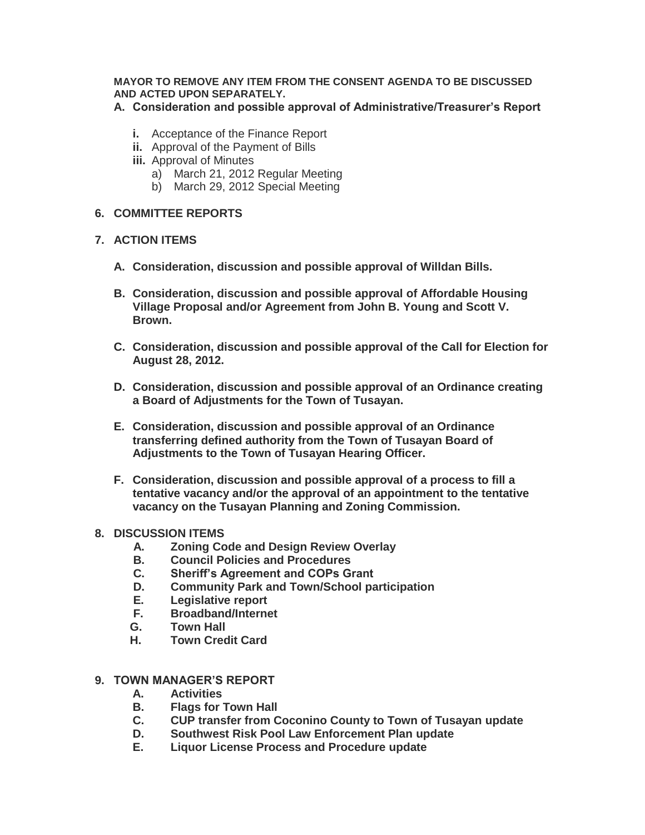## **MAYOR TO REMOVE ANY ITEM FROM THE CONSENT AGENDA TO BE DISCUSSED AND ACTED UPON SEPARATELY.**

**A. Consideration and possible approval of Administrative/Treasurer's Report**

- **i.** Acceptance of the Finance Report
- **ii.** Approval of the Payment of Bills
- **iii.** Approval of Minutes
	- a) March 21, 2012 Regular Meeting
	- b) March 29, 2012 Special Meeting

## **6. COMMITTEE REPORTS**

## **7. ACTION ITEMS**

- **A. Consideration, discussion and possible approval of Willdan Bills.**
- **B. Consideration, discussion and possible approval of Affordable Housing Village Proposal and/or Agreement from John B. Young and Scott V. Brown.**
- **C. Consideration, discussion and possible approval of the Call for Election for August 28, 2012.**
- **D. Consideration, discussion and possible approval of an Ordinance creating a Board of Adjustments for the Town of Tusayan.**
- **E. Consideration, discussion and possible approval of an Ordinance transferring defined authority from the Town of Tusayan Board of Adjustments to the Town of Tusayan Hearing Officer.**
- **F. Consideration, discussion and possible approval of a process to fill a tentative vacancy and/or the approval of an appointment to the tentative vacancy on the Tusayan Planning and Zoning Commission.**

#### **8. DISCUSSION ITEMS**

- **A. Zoning Code and Design Review Overlay**
- **B. Council Policies and Procedures**
- **C. Sheriff's Agreement and COPs Grant**
- **D. Community Park and Town/School participation**
- **E. Legislative report**
- **F. Broadband/Internet**
- **G. Town Hall**
- **H. Town Credit Card**

### **9. TOWN MANAGER'S REPORT**

- **A. Activities**
- **B. Flags for Town Hall**
- **C. CUP transfer from Coconino County to Town of Tusayan update**
- **D. Southwest Risk Pool Law Enforcement Plan update**
- **E. Liquor License Process and Procedure update**